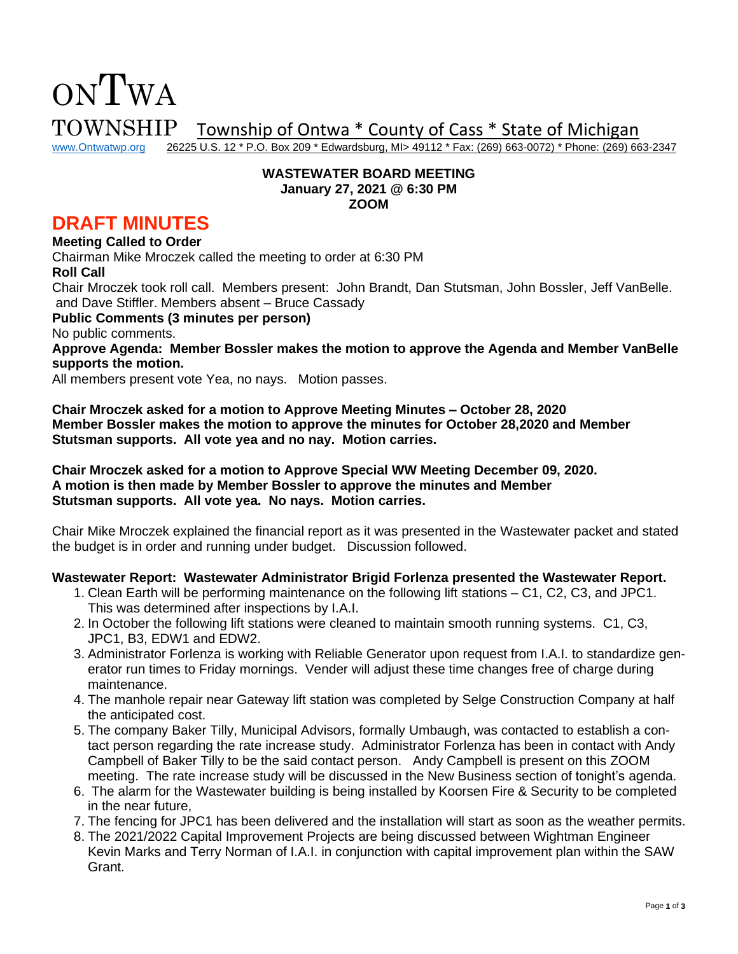# TOWNSHIP Township of Ontwa \* County of Cass \* State of Michigan<br>www.Ontwatwp.org 26225 U.S. 12 \* P.O. Box 209 \* Edwardsburg, MI> 49112 \* Fax: (269) 663-0072) \* Phone: (269) 66

26225 U.S. 12 \* P.O. Box 209 \* Edwardsburg, MI> 49112 \* Fax: (269) 663-0072) \* Phone: (269) 663-2347

#### **WASTEWATER BOARD MEETING January 27, 2021 @ 6:30 PM ZOOM**

# **DRAFT MINUTES**

#### **Meeting Called to Order**

ONTWA

Chairman Mike Mroczek called the meeting to order at 6:30 PM **Roll Call** Chair Mroczek took roll call. Members present: John Brandt, Dan Stutsman, John Bossler, Jeff VanBelle. and Dave Stiffler. Members absent – Bruce Cassady

**Public Comments (3 minutes per person)**

No public comments.

**Approve Agenda: Member Bossler makes the motion to approve the Agenda and Member VanBelle supports the motion.** 

All members present vote Yea, no nays. Motion passes.

**Chair Mroczek asked for a motion to Approve Meeting Minutes – October 28, 2020 Member Bossler makes the motion to approve the minutes for October 28,2020 and Member Stutsman supports. All vote yea and no nay. Motion carries.**

**Chair Mroczek asked for a motion to Approve Special WW Meeting December 09, 2020. A motion is then made by Member Bossler to approve the minutes and Member Stutsman supports. All vote yea. No nays. Motion carries.** 

Chair Mike Mroczek explained the financial report as it was presented in the Wastewater packet and stated the budget is in order and running under budget. Discussion followed.

#### **Wastewater Report: Wastewater Administrator Brigid Forlenza presented the Wastewater Report.**

- 1. Clean Earth will be performing maintenance on the following lift stations C1, C2, C3, and JPC1. This was determined after inspections by I.A.I.
- 2. In October the following lift stations were cleaned to maintain smooth running systems. C1, C3, JPC1, B3, EDW1 and EDW2.
- 3. Administrator Forlenza is working with Reliable Generator upon request from I.A.I. to standardize generator run times to Friday mornings. Vender will adjust these time changes free of charge during maintenance.
- 4. The manhole repair near Gateway lift station was completed by Selge Construction Company at half the anticipated cost.
- 5. The company Baker Tilly, Municipal Advisors, formally Umbaugh, was contacted to establish a contact person regarding the rate increase study. Administrator Forlenza has been in contact with Andy Campbell of Baker Tilly to be the said contact person. Andy Campbell is present on this ZOOM meeting. The rate increase study will be discussed in the New Business section of tonight's agenda.
- 6. The alarm for the Wastewater building is being installed by Koorsen Fire & Security to be completed in the near future,
- 7. The fencing for JPC1 has been delivered and the installation will start as soon as the weather permits.
- 8. The 2021/2022 Capital Improvement Projects are being discussed between Wightman Engineer Kevin Marks and Terry Norman of I.A.I. in conjunction with capital improvement plan within the SAW Grant.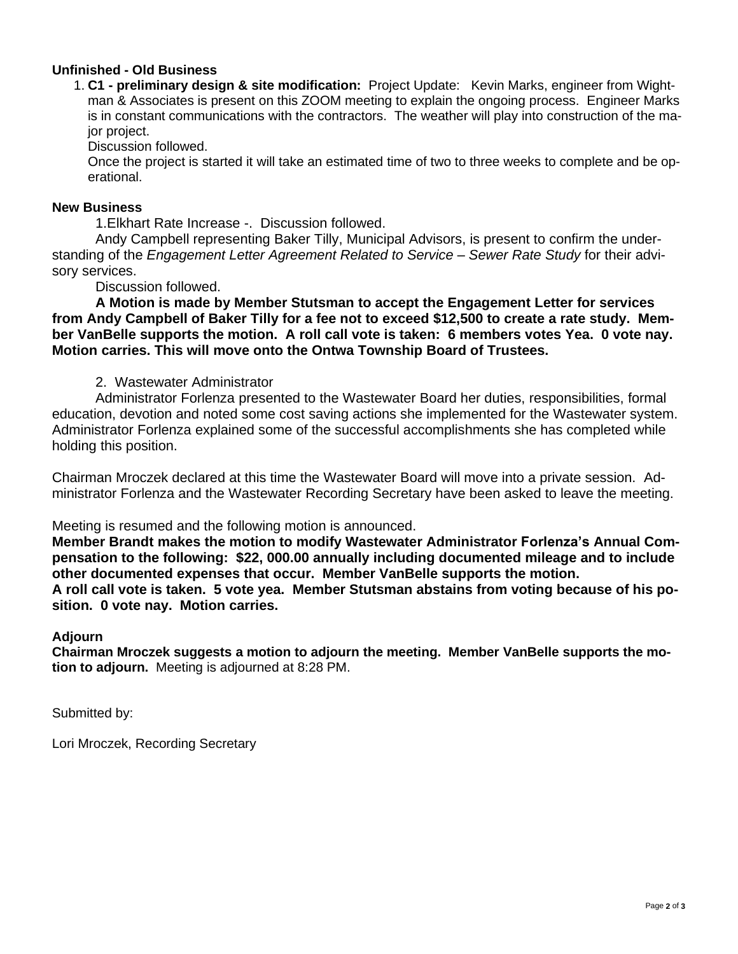## **Unfinished - Old Business**

1. **C1 - preliminary design & site modification:** Project Update: Kevin Marks, engineer from Wightman & Associates is present on this ZOOM meeting to explain the ongoing process. Engineer Marks is in constant communications with the contractors. The weather will play into construction of the major project.

Discussion followed.

Once the project is started it will take an estimated time of two to three weeks to complete and be operational.

#### **New Business**

1.Elkhart Rate Increase -. Discussion followed.

Andy Campbell representing Baker Tilly, Municipal Advisors, is present to confirm the understanding of the *Engagement Letter Agreement Related to Service – Sewer Rate Study* for their advisory services.

Discussion followed.

**A Motion is made by Member Stutsman to accept the Engagement Letter for services from Andy Campbell of Baker Tilly for a fee not to exceed \$12,500 to create a rate study. Member VanBelle supports the motion. A roll call vote is taken: 6 members votes Yea. 0 vote nay. Motion carries. This will move onto the Ontwa Township Board of Trustees.** 

### 2. Wastewater Administrator

Administrator Forlenza presented to the Wastewater Board her duties, responsibilities, formal education, devotion and noted some cost saving actions she implemented for the Wastewater system. Administrator Forlenza explained some of the successful accomplishments she has completed while holding this position.

Chairman Mroczek declared at this time the Wastewater Board will move into a private session. Administrator Forlenza and the Wastewater Recording Secretary have been asked to leave the meeting.

Meeting is resumed and the following motion is announced.

**Member Brandt makes the motion to modify Wastewater Administrator Forlenza's Annual Compensation to the following: \$22, 000.00 annually including documented mileage and to include other documented expenses that occur. Member VanBelle supports the motion.**

**A roll call vote is taken. 5 vote yea. Member Stutsman abstains from voting because of his position. 0 vote nay. Motion carries.** 

#### **Adjourn**

**Chairman Mroczek suggests a motion to adjourn the meeting. Member VanBelle supports the motion to adjourn.** Meeting is adjourned at 8:28 PM.

Submitted by:

Lori Mroczek, Recording Secretary